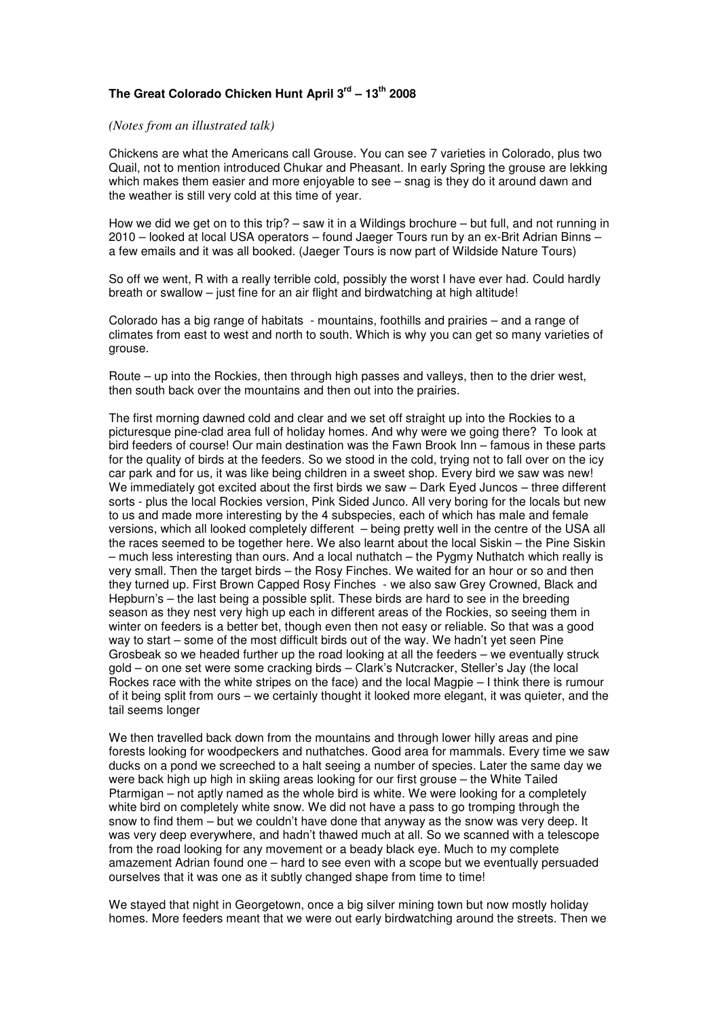## **The Great Colorado Chicken Hunt April 3rd – 13th 2008**

## *(Notes from an illustrated talk)*

Chickens are what the Americans call Grouse. You can see 7 varieties in Colorado, plus two Quail, not to mention introduced Chukar and Pheasant. In early Spring the grouse are lekking which makes them easier and more enjoyable to see – snag is they do it around dawn and the weather is still very cold at this time of year.

How we did we get on to this trip? – saw it in a Wildings brochure – but full, and not running in 2010 – looked at local USA operators – found Jaeger Tours run by an ex-Brit Adrian Binns – a few emails and it was all booked. (Jaeger Tours is now part of Wildside Nature Tours)

So off we went, R with a really terrible cold, possibly the worst I have ever had. Could hardly breath or swallow – just fine for an air flight and birdwatching at high altitude!

Colorado has a big range of habitats - mountains, foothills and prairies – and a range of climates from east to west and north to south. Which is why you can get so many varieties of grouse.

Route – up into the Rockies, then through high passes and valleys, then to the drier west, then south back over the mountains and then out into the prairies.

The first morning dawned cold and clear and we set off straight up into the Rockies to a picturesque pine-clad area full of holiday homes. And why were we going there? To look at bird feeders of course! Our main destination was the Fawn Brook Inn – famous in these parts for the quality of birds at the feeders. So we stood in the cold, trying not to fall over on the icy car park and for us, it was like being children in a sweet shop. Every bird we saw was new! We immediately got excited about the first birds we saw – Dark Eyed Juncos – three different sorts - plus the local Rockies version, Pink Sided Junco. All very boring for the locals but new to us and made more interesting by the 4 subspecies, each of which has male and female versions, which all looked completely different – being pretty well in the centre of the USA all the races seemed to be together here. We also learnt about the local Siskin – the Pine Siskin – much less interesting than ours. And a local nuthatch – the Pygmy Nuthatch which really is very small. Then the target birds – the Rosy Finches. We waited for an hour or so and then they turned up. First Brown Capped Rosy Finches - we also saw Grey Crowned, Black and Hepburn's – the last being a possible split. These birds are hard to see in the breeding season as they nest very high up each in different areas of the Rockies, so seeing them in winter on feeders is a better bet, though even then not easy or reliable. So that was a good way to start – some of the most difficult birds out of the way. We hadn't yet seen Pine Grosbeak so we headed further up the road looking at all the feeders – we eventually struck gold – on one set were some cracking birds – Clark's Nutcracker, Steller's Jay (the local Rockes race with the white stripes on the face) and the local Magpie – I think there is rumour of it being split from ours – we certainly thought it looked more elegant, it was quieter, and the tail seems longer

We then travelled back down from the mountains and through lower hilly areas and pine forests looking for woodpeckers and nuthatches. Good area for mammals. Every time we saw ducks on a pond we screeched to a halt seeing a number of species. Later the same day we were back high up high in skiing areas looking for our first grouse – the White Tailed Ptarmigan – not aptly named as the whole bird is white. We were looking for a completely white bird on completely white snow. We did not have a pass to go tromping through the snow to find them – but we couldn't have done that anyway as the snow was very deep. It was very deep everywhere, and hadn't thawed much at all. So we scanned with a telescope from the road looking for any movement or a beady black eye. Much to my complete amazement Adrian found one – hard to see even with a scope but we eventually persuaded ourselves that it was one as it subtly changed shape from time to time!

We stayed that night in Georgetown, once a big silver mining town but now mostly holiday homes. More feeders meant that we were out early birdwatching around the streets. Then we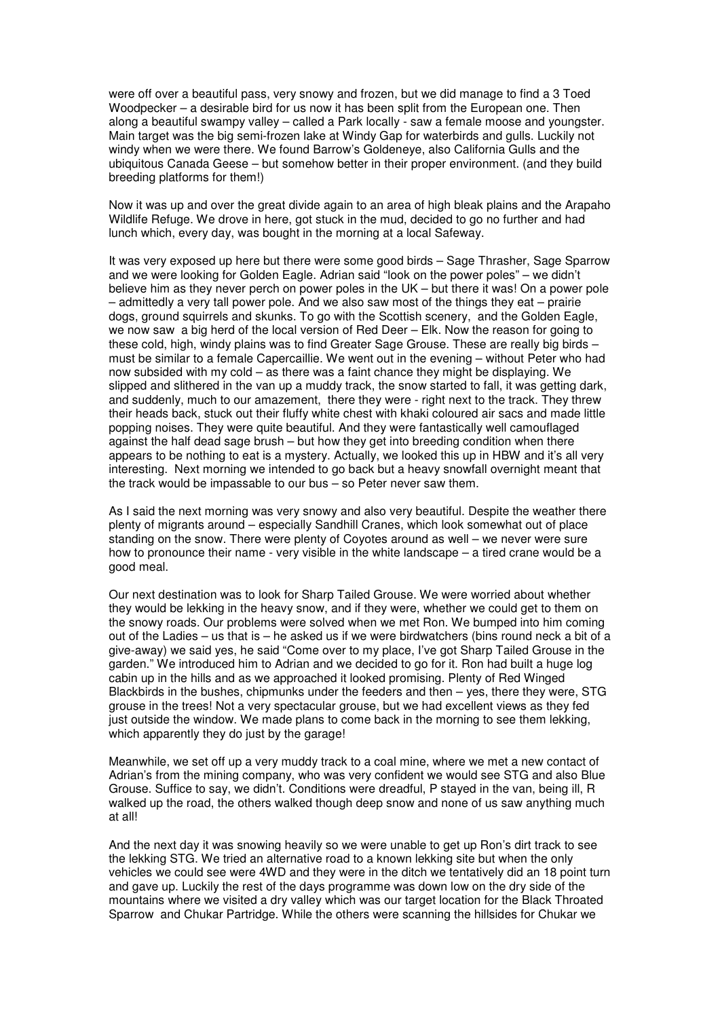were off over a beautiful pass, very snowy and frozen, but we did manage to find a 3 Toed Woodpecker – a desirable bird for us now it has been split from the European one. Then along a beautiful swampy valley – called a Park locally - saw a female moose and youngster. Main target was the big semi-frozen lake at Windy Gap for waterbirds and gulls. Luckily not windy when we were there. We found Barrow's Goldeneye, also California Gulls and the ubiquitous Canada Geese – but somehow better in their proper environment. (and they build breeding platforms for them!)

Now it was up and over the great divide again to an area of high bleak plains and the Arapaho Wildlife Refuge. We drove in here, got stuck in the mud, decided to go no further and had lunch which, every day, was bought in the morning at a local Safeway.

It was very exposed up here but there were some good birds – Sage Thrasher, Sage Sparrow and we were looking for Golden Eagle. Adrian said "look on the power poles" – we didn't believe him as they never perch on power poles in the UK – but there it was! On a power pole – admittedly a very tall power pole. And we also saw most of the things they eat – prairie dogs, ground squirrels and skunks. To go with the Scottish scenery, and the Golden Eagle, we now saw a big herd of the local version of Red Deer – Elk. Now the reason for going to these cold, high, windy plains was to find Greater Sage Grouse. These are really big birds – must be similar to a female Capercaillie. We went out in the evening – without Peter who had now subsided with my cold – as there was a faint chance they might be displaying. We slipped and slithered in the van up a muddy track, the snow started to fall, it was getting dark, and suddenly, much to our amazement, there they were - right next to the track. They threw their heads back, stuck out their fluffy white chest with khaki coloured air sacs and made little popping noises. They were quite beautiful. And they were fantastically well camouflaged against the half dead sage brush – but how they get into breeding condition when there appears to be nothing to eat is a mystery. Actually, we looked this up in HBW and it's all very interesting. Next morning we intended to go back but a heavy snowfall overnight meant that the track would be impassable to our bus – so Peter never saw them.

As I said the next morning was very snowy and also very beautiful. Despite the weather there plenty of migrants around – especially Sandhill Cranes, which look somewhat out of place standing on the snow. There were plenty of Coyotes around as well – we never were sure how to pronounce their name - very visible in the white landscape – a tired crane would be a good meal.

Our next destination was to look for Sharp Tailed Grouse. We were worried about whether they would be lekking in the heavy snow, and if they were, whether we could get to them on the snowy roads. Our problems were solved when we met Ron. We bumped into him coming out of the Ladies – us that is – he asked us if we were birdwatchers (bins round neck a bit of a give-away) we said yes, he said "Come over to my place, I've got Sharp Tailed Grouse in the garden." We introduced him to Adrian and we decided to go for it. Ron had built a huge log cabin up in the hills and as we approached it looked promising. Plenty of Red Winged Blackbirds in the bushes, chipmunks under the feeders and then – yes, there they were, STG grouse in the trees! Not a very spectacular grouse, but we had excellent views as they fed just outside the window. We made plans to come back in the morning to see them lekking, which apparently they do just by the garage!

Meanwhile, we set off up a very muddy track to a coal mine, where we met a new contact of Adrian's from the mining company, who was very confident we would see STG and also Blue Grouse. Suffice to say, we didn't. Conditions were dreadful, P stayed in the van, being ill, R walked up the road, the others walked though deep snow and none of us saw anything much at all!

And the next day it was snowing heavily so we were unable to get up Ron's dirt track to see the lekking STG. We tried an alternative road to a known lekking site but when the only vehicles we could see were 4WD and they were in the ditch we tentatively did an 18 point turn and gave up. Luckily the rest of the days programme was down low on the dry side of the mountains where we visited a dry valley which was our target location for the Black Throated Sparrow and Chukar Partridge. While the others were scanning the hillsides for Chukar we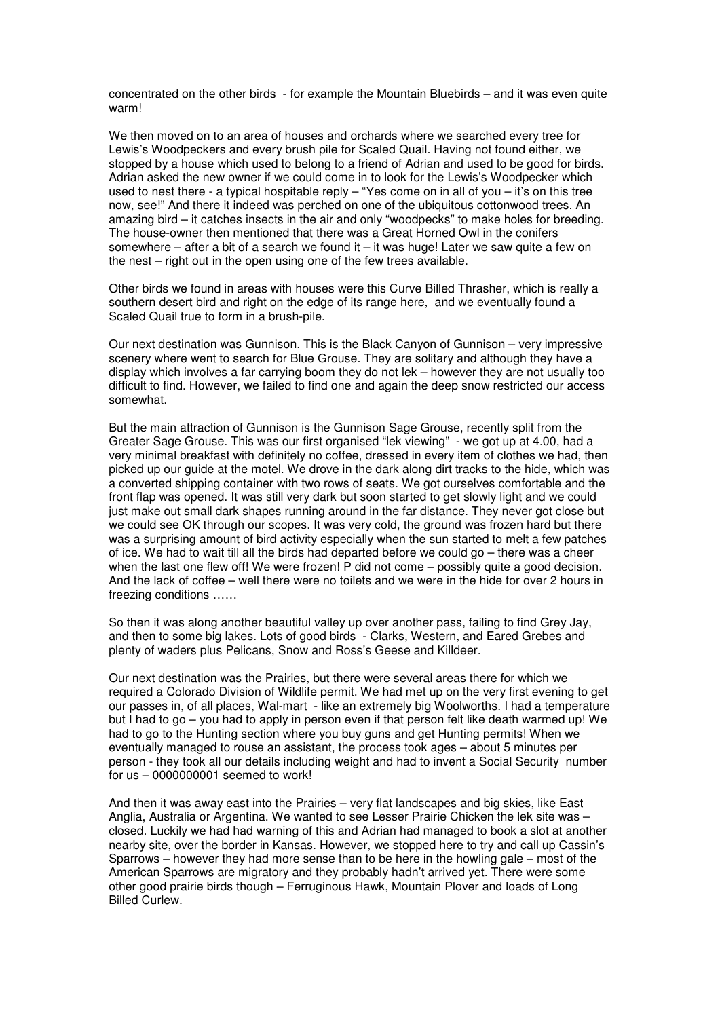concentrated on the other birds - for example the Mountain Bluebirds – and it was even quite warm!

We then moved on to an area of houses and orchards where we searched every tree for Lewis's Woodpeckers and every brush pile for Scaled Quail. Having not found either, we stopped by a house which used to belong to a friend of Adrian and used to be good for birds. Adrian asked the new owner if we could come in to look for the Lewis's Woodpecker which used to nest there - a typical hospitable reply – "Yes come on in all of you – it's on this tree now, see!" And there it indeed was perched on one of the ubiquitous cottonwood trees. An amazing bird – it catches insects in the air and only "woodpecks" to make holes for breeding. The house-owner then mentioned that there was a Great Horned Owl in the conifers somewhere – after a bit of a search we found it – it was huge! Later we saw quite a few on the nest – right out in the open using one of the few trees available.

Other birds we found in areas with houses were this Curve Billed Thrasher, which is really a southern desert bird and right on the edge of its range here, and we eventually found a Scaled Quail true to form in a brush-pile.

Our next destination was Gunnison. This is the Black Canyon of Gunnison – very impressive scenery where went to search for Blue Grouse. They are solitary and although they have a display which involves a far carrying boom they do not lek – however they are not usually too difficult to find. However, we failed to find one and again the deep snow restricted our access somewhat.

But the main attraction of Gunnison is the Gunnison Sage Grouse, recently split from the Greater Sage Grouse. This was our first organised "lek viewing" - we got up at 4.00, had a very minimal breakfast with definitely no coffee, dressed in every item of clothes we had, then picked up our guide at the motel. We drove in the dark along dirt tracks to the hide, which was a converted shipping container with two rows of seats. We got ourselves comfortable and the front flap was opened. It was still very dark but soon started to get slowly light and we could just make out small dark shapes running around in the far distance. They never got close but we could see OK through our scopes. It was very cold, the ground was frozen hard but there was a surprising amount of bird activity especially when the sun started to melt a few patches of ice. We had to wait till all the birds had departed before we could go – there was a cheer when the last one flew off! We were frozen! P did not come – possibly quite a good decision. And the lack of coffee – well there were no toilets and we were in the hide for over 2 hours in freezing conditions ……

So then it was along another beautiful valley up over another pass, failing to find Grey Jay, and then to some big lakes. Lots of good birds - Clarks, Western, and Eared Grebes and plenty of waders plus Pelicans, Snow and Ross's Geese and Killdeer.

Our next destination was the Prairies, but there were several areas there for which we required a Colorado Division of Wildlife permit. We had met up on the very first evening to get our passes in, of all places, Wal-mart - like an extremely big Woolworths. I had a temperature but I had to go – you had to apply in person even if that person felt like death warmed up! We had to go to the Hunting section where you buy guns and get Hunting permits! When we eventually managed to rouse an assistant, the process took ages – about 5 minutes per person - they took all our details including weight and had to invent a Social Security number for us – 0000000001 seemed to work!

And then it was away east into the Prairies – very flat landscapes and big skies, like East Anglia, Australia or Argentina. We wanted to see Lesser Prairie Chicken the lek site was – closed. Luckily we had had warning of this and Adrian had managed to book a slot at another nearby site, over the border in Kansas. However, we stopped here to try and call up Cassin's Sparrows – however they had more sense than to be here in the howling gale – most of the American Sparrows are migratory and they probably hadn't arrived yet. There were some other good prairie birds though – Ferruginous Hawk, Mountain Plover and loads of Long Billed Curlew.